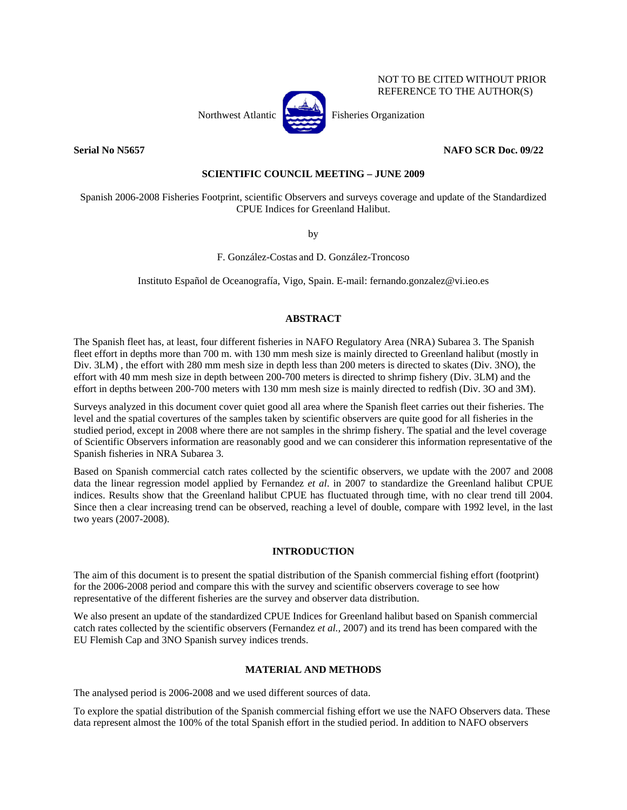

NOT TO BE CITED WITHOUT PRIOR REFERENCE TO THE AUTHOR(S)

# **Serial No N5657 NAFO SCR Doc. 09/22**

### **SCIENTIFIC COUNCIL MEETING – JUNE 2009**

Spanish 2006-2008 Fisheries Footprint, scientific Observers and surveys coverage and update of the Standardized CPUE Indices for Greenland Halibut.

by

F. González-Costas and D. González-Troncoso

Instituto Español de Oceanografía, Vigo, Spain. E-mail: fernando.gonzalez@vi.ieo.es

#### **ABSTRACT**

The Spanish fleet has, at least, four different fisheries in NAFO Regulatory Area (NRA) Subarea 3. The Spanish fleet effort in depths more than 700 m. with 130 mm mesh size is mainly directed to Greenland halibut (mostly in Div. 3LM) , the effort with 280 mm mesh size in depth less than 200 meters is directed to skates (Div. 3NO), the effort with 40 mm mesh size in depth between 200-700 meters is directed to shrimp fishery (Div. 3LM) and the effort in depths between 200-700 meters with 130 mm mesh size is mainly directed to redfish (Div. 3O and 3M).

Surveys analyzed in this document cover quiet good all area where the Spanish fleet carries out their fisheries. The level and the spatial covertures of the samples taken by scientific observers are quite good for all fisheries in the studied period, except in 2008 where there are not samples in the shrimp fishery. The spatial and the level coverage of Scientific Observers information are reasonably good and we can considerer this information representative of the Spanish fisheries in NRA Subarea 3.

Based on Spanish commercial catch rates collected by the scientific observers, we update with the 2007 and 2008 data the linear regression model applied by Fernandez *et al*. in 2007 to standardize the Greenland halibut CPUE indices. Results show that the Greenland halibut CPUE has fluctuated through time, with no clear trend till 2004. Since then a clear increasing trend can be observed, reaching a level of double, compare with 1992 level, in the last two years (2007-2008).

## **INTRODUCTION**

The aim of this document is to present the spatial distribution of the Spanish commercial fishing effort (footprint) for the 2006-2008 period and compare this with the survey and scientific observers coverage to see how representative of the different fisheries are the survey and observer data distribution.

We also present an update of the standardized CPUE Indices for Greenland halibut based on Spanish commercial catch rates collected by the scientific observers (Fernandez *et al.,* 2007) and its trend has been compared with the EU Flemish Cap and 3NO Spanish survey indices trends.

## **MATERIAL AND METHODS**

The analysed period is 2006-2008 and we used different sources of data.

To explore the spatial distribution of the Spanish commercial fishing effort we use the NAFO Observers data. These data represent almost the 100% of the total Spanish effort in the studied period. In addition to NAFO observers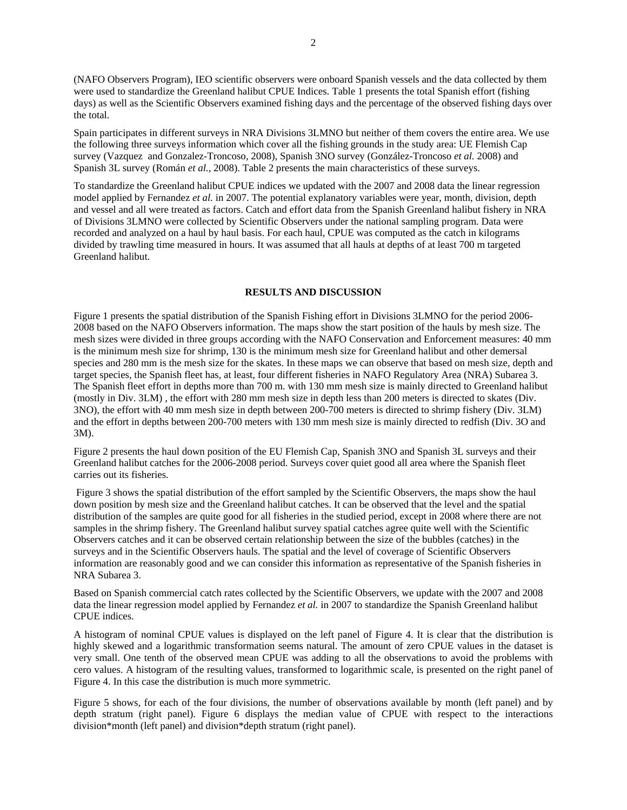(NAFO Observers Program), IEO scientific observers were onboard Spanish vessels and the data collected by them were used to standardize the Greenland halibut CPUE Indices. Table 1 presents the total Spanish effort (fishing days) as well as the Scientific Observers examined fishing days and the percentage of the observed fishing days over the total.

Spain participates in different surveys in NRA Divisions 3LMNO but neither of them covers the entire area. We use the following three surveys information which cover all the fishing grounds in the study area: UE Flemish Cap survey (Vazquez and Gonzalez-Troncoso, 2008), Spanish 3NO survey (González-Troncoso *et al.* 2008) and Spanish 3L survey (Román *et al.,* 2008). Table 2 presents the main characteristics of these surveys.

To standardize the Greenland halibut CPUE indices we updated with the 2007 and 2008 data the linear regression model applied by Fernandez *et al.* in 2007. The potential explanatory variables were year, month, division, depth and vessel and all were treated as factors. Catch and effort data from the Spanish Greenland halibut fishery in NRA of Divisions 3LMNO were collected by Scientific Observers under the national sampling program. Data were recorded and analyzed on a haul by haul basis. For each haul, CPUE was computed as the catch in kilograms divided by trawling time measured in hours. It was assumed that all hauls at depths of at least 700 m targeted Greenland halibut.

#### **RESULTS AND DISCUSSION**

Figure 1 presents the spatial distribution of the Spanish Fishing effort in Divisions 3LMNO for the period 2006- 2008 based on the NAFO Observers information. The maps show the start position of the hauls by mesh size. The mesh sizes were divided in three groups according with the NAFO Conservation and Enforcement measures: 40 mm is the minimum mesh size for shrimp, 130 is the minimum mesh size for Greenland halibut and other demersal species and 280 mm is the mesh size for the skates. In these maps we can observe that based on mesh size, depth and target species, the Spanish fleet has, at least, four different fisheries in NAFO Regulatory Area (NRA) Subarea 3. The Spanish fleet effort in depths more than 700 m. with 130 mm mesh size is mainly directed to Greenland halibut (mostly in Div. 3LM) , the effort with 280 mm mesh size in depth less than 200 meters is directed to skates (Div. 3NO), the effort with 40 mm mesh size in depth between 200-700 meters is directed to shrimp fishery (Div. 3LM) and the effort in depths between 200-700 meters with 130 mm mesh size is mainly directed to redfish (Div. 3O and 3M).

Figure 2 presents the haul down position of the EU Flemish Cap, Spanish 3NO and Spanish 3L surveys and their Greenland halibut catches for the 2006-2008 period. Surveys cover quiet good all area where the Spanish fleet carries out its fisheries.

 Figure 3 shows the spatial distribution of the effort sampled by the Scientific Observers, the maps show the haul down position by mesh size and the Greenland halibut catches. It can be observed that the level and the spatial distribution of the samples are quite good for all fisheries in the studied period, except in 2008 where there are not samples in the shrimp fishery. The Greenland halibut survey spatial catches agree quite well with the Scientific Observers catches and it can be observed certain relationship between the size of the bubbles (catches) in the surveys and in the Scientific Observers hauls. The spatial and the level of coverage of Scientific Observers information are reasonably good and we can consider this information as representative of the Spanish fisheries in NRA Subarea 3.

Based on Spanish commercial catch rates collected by the Scientific Observers, we update with the 2007 and 2008 data the linear regression model applied by Fernandez *et al.* in 2007 to standardize the Spanish Greenland halibut CPUE indices.

A histogram of nominal CPUE values is displayed on the left panel of Figure 4. It is clear that the distribution is highly skewed and a logarithmic transformation seems natural. The amount of zero CPUE values in the dataset is very small. One tenth of the observed mean CPUE was adding to all the observations to avoid the problems with cero values. A histogram of the resulting values, transformed to logarithmic scale, is presented on the right panel of Figure 4. In this case the distribution is much more symmetric.

Figure 5 shows, for each of the four divisions, the number of observations available by month (left panel) and by depth stratum (right panel). Figure 6 displays the median value of CPUE with respect to the interactions division\*month (left panel) and division\*depth stratum (right panel).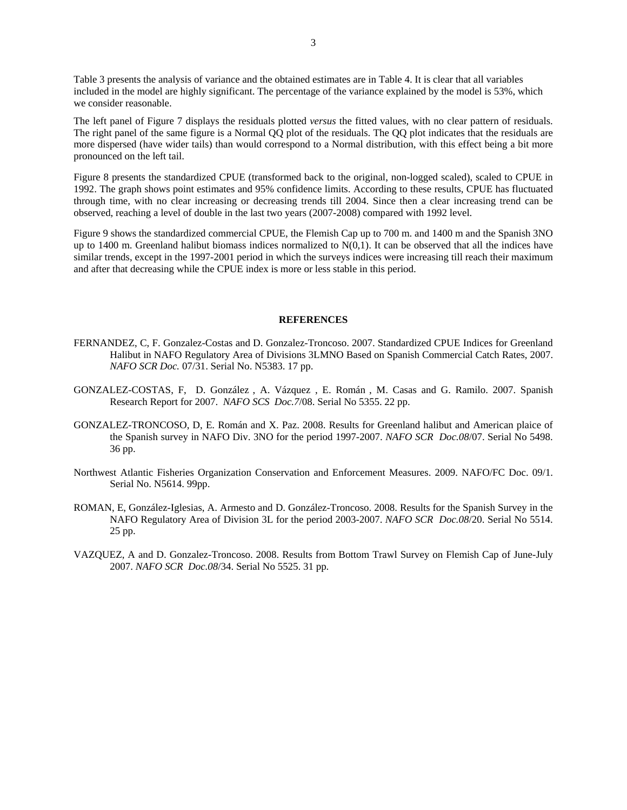Table 3 presents the analysis of variance and the obtained estimates are in Table 4. It is clear that all variables included in the model are highly significant. The percentage of the variance explained by the model is 53%, which we consider reasonable.

The left panel of Figure 7 displays the residuals plotted *versus* the fitted values, with no clear pattern of residuals. The right panel of the same figure is a Normal QQ plot of the residuals. The QQ plot indicates that the residuals are more dispersed (have wider tails) than would correspond to a Normal distribution, with this effect being a bit more pronounced on the left tail.

Figure 8 presents the standardized CPUE (transformed back to the original, non-logged scaled), scaled to CPUE in 1992. The graph shows point estimates and 95% confidence limits. According to these results, CPUE has fluctuated through time, with no clear increasing or decreasing trends till 2004. Since then a clear increasing trend can be observed, reaching a level of double in the last two years (2007-2008) compared with 1992 level.

Figure 9 shows the standardized commercial CPUE, the Flemish Cap up to 700 m. and 1400 m and the Spanish 3NO up to 1400 m. Greenland halibut biomass indices normalized to  $N(0,1)$ . It can be observed that all the indices have similar trends, except in the 1997-2001 period in which the surveys indices were increasing till reach their maximum and after that decreasing while the CPUE index is more or less stable in this period.

#### **REFERENCES**

- FERNANDEZ, C, F. Gonzalez-Costas and D. Gonzalez-Troncoso. 2007. Standardized CPUE Indices for Greenland Halibut in NAFO Regulatory Area of Divisions 3LMNO Based on Spanish Commercial Catch Rates, 2007. *NAFO SCR Doc.* 07/31. Serial No. N5383. 17 pp.
- GONZALEZ-COSTAS, F, D. González , A. Vázquez , E. Román , M. Casas and G. Ramilo. 2007. Spanish Research Report for 2007. *NAFO SCS Doc.7*/08. Serial No 5355. 22 pp.
- GONZALEZ-TRONCOSO, D, E. Román and X. Paz. 2008. Results for Greenland halibut and American plaice of the Spanish survey in NAFO Div. 3NO for the period 1997-2007. *NAFO SCR Doc.08*/07. Serial No 5498. 36 pp.
- Northwest Atlantic Fisheries Organization Conservation and Enforcement Measures. 2009. NAFO/FC Doc. 09/1. Serial No. N5614. 99pp.
- ROMAN, E, González-Iglesias, A. Armesto and D. González-Troncoso. 2008. Results for the Spanish Survey in the NAFO Regulatory Area of Division 3L for the period 2003-2007. *NAFO SCR Doc.08*/20. Serial No 5514. 25 pp.
- VAZQUEZ, A and D. Gonzalez-Troncoso. 2008. Results from Bottom Trawl Survey on Flemish Cap of June-July 2007. *NAFO SCR Doc.08*/34. Serial No 5525. 31 pp.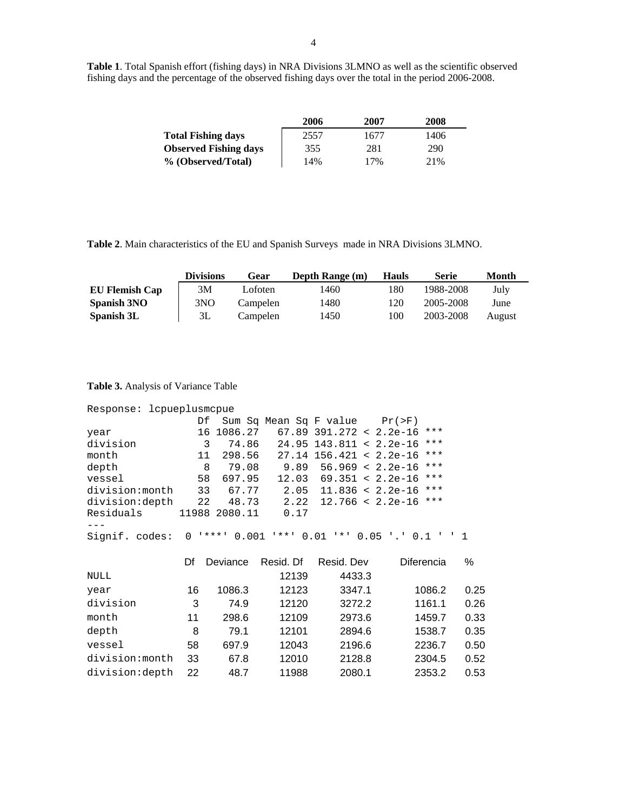**Table 1**. Total Spanish effort (fishing days) in NRA Divisions 3LMNO as well as the scientific observed fishing days and the percentage of the observed fishing days over the total in the period 2006-2008.

|                              | 2006 | 2007 | 2008 |
|------------------------------|------|------|------|
| <b>Total Fishing days</b>    | 2557 | 1677 | 1406 |
| <b>Observed Fishing days</b> | 355  | 281  | 290  |
| % (Observed/Total)           | 14%  | 17%  | 21%  |

**Table 2**. Main characteristics of the EU and Spanish Surveys made in NRA Divisions 3LMNO.

|                       | Divisions | Gear     | Depth Range (m) | <b>Hauls</b> | <b>Serie</b> | Month  |
|-----------------------|-----------|----------|-----------------|--------------|--------------|--------|
| <b>EU Flemish Cap</b> | 3М        | Lofoten  | 1460            | 180          | 1988-2008    | July   |
| Spanish 3NO           | 3NO       | Campelen | 1480            | 120          | 2005-2008    | June   |
| Spanish 3L            | 3L        | Campelen | 1450            | 100          | 2003-2008    | August |

**Table 3.** Analysis of Variance Table

| Response: lcpueplusmcpue |     |               |           |                                       |                                                |      |
|--------------------------|-----|---------------|-----------|---------------------------------------|------------------------------------------------|------|
|                          |     |               |           | Df Sum Sq Mean Sq F value $Pr(\ge F)$ |                                                |      |
| year                     | 16  | 1086.27       |           | $67.89$ 391.272 < 2.2e-16             | $***$                                          |      |
| division                 | 3   | 74.86         |           | $24.95$ 143.811 < 2.2e-16             | $***$                                          |      |
| month                    | 11  | 298.56        |           | $27.14$ 156.421 < 2.2e-16             | $\star\star\star$                              |      |
| depth                    | - 8 | 79.08         |           | $9.89$ 56.969 < 2.2e-16               | $***$                                          |      |
| vessel                   | 58  | 697.95        |           | $12.03$ 69.351 < 2.2e-16              | $***$                                          |      |
| division:month           | 33  | 67.77         |           | $2.05$ 11.836 < 2.2e-16               | $***$                                          |      |
| division:depth           | 22  | 48.73         | 2.22      | $12.766 < 2.2e-16$                    | $\star\star\star$                              |      |
| Residuals                |     | 11988 2080.11 | 0.17      |                                       |                                                |      |
|                          |     |               |           |                                       |                                                |      |
| Signif. codes:           |     |               |           |                                       | 0 ****' 0.001 '**' 0.01 '*' 0.05 '.' 0.1 ' ' 1 |      |
|                          | Df  | Deviance      | Resid. Df | Resid. Dev                            | Diferencia                                     | ℅    |
| NULL                     |     |               | 12139     | 4433.3                                |                                                |      |
| year                     | 16  | 1086.3        | 12123     | 3347.1                                | 1086.2                                         | 0.25 |
| division                 | 3   | 74.9          | 12120     | 3272.2                                | 1161.1                                         | 0.26 |
| month                    | 11  | 298.6         | 12109     | 2973.6                                | 1459.7                                         | 0.33 |
| depth                    | 8   | 79.1          | 12101     | 2894.6                                | 1538.7                                         | 0.35 |
| vessel                   | 58  | 697.9         | 12043     | 2196.6                                | 2236.7                                         | 0.50 |

division: month 33 67.8 12010 2128.8 2304.5 0.52 division:depth 22 48.7 11988 2080.1 2353.2 0.53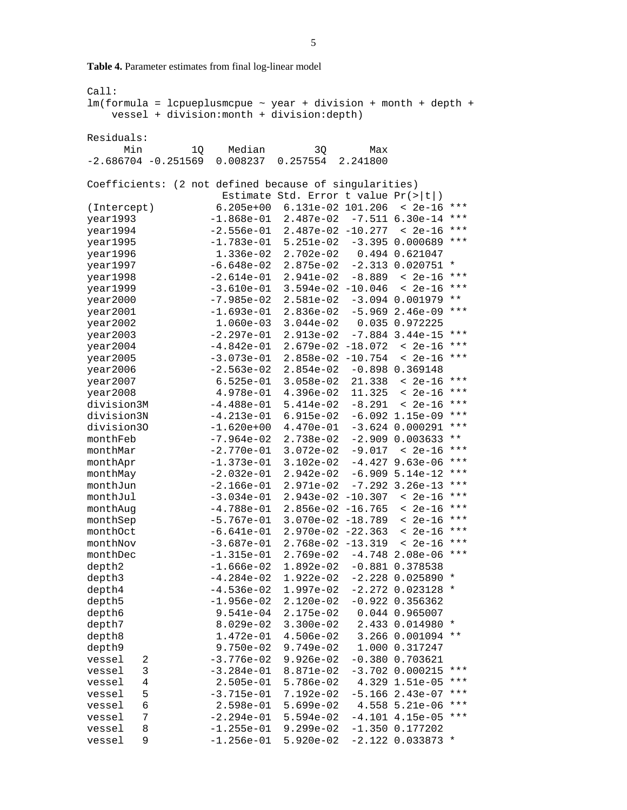**Table 4.** Parameter estimates from final log-linear model

```
Call: 
lm(formula = lcpueplusmcpue ~ year + division + month + depth + vessel + division:month + division:depth) 
Residuals: 
      Min 1Q Median 3Q Max 
-2.686704 -0.251569 0.008237 0.257554 2.241800 
Coefficients: (2 not defined because of singularities) 
                   Estimate Std. Error t value Pr(>|t|) 
(Intercept) 6.205e+00 6.131e-02 101.206 < 2e-16 *** 
year1993 -1.868e-01 2.487e-02 -7.511 6.30e-14 *** 
year1994 -2.556e-01 2.487e-02 -10.277 < 2e-16 ***
year1995 -1.783e-01 5.251e-02 -3.395 0.000689 *** 
year1996 1.336e-02 2.702e-02
year1997 -6.648e-02 2.875e-02 -2.313 0.020751 * 
year1998 -2.614e-01 2.941e-02 -8.889 < 2e-16 *** 
year1999 -3.610e-01 3.594e-02 -10.046 < 2e-16 *** 
year2000 -7.985e-02 2.581e-02 -3.094 0.001979 **
year2001 -1.693e-01 2.836e-02 -5.969 2.46e-09 ***
year2002 1.060e-03 3.044e-02 0.035 0.972225 
year2003 -2.297e-01 2.913e-02 -7.884 3.44e-15 *** 
year2004 -4.842e-01 2.679e-02 -18.072 < 2e-16 *** 
year2005 -3.073e-01 2.858e-02 -10.754 < 2e-16 *** 
year2006 -2.563e-02 2.854e-02 -0.898 0.369148 
year2007 6.525e-01 3.058e-02 21.338 < 2e-16 *** 
year2008 4.978e-01 4.396e-02 11.325 < 2e-16 *** 
division3M -4.488e-01 5.414e-02 -8.291 < 2e-16 ***<br>division3N -4.213e-01 6.915e-02 -6.092 1.15e-09 ***
               division3N -4.213e-01 6.915e-02 -6.092 1.15e-09 *** 
division30 -1.620e+00 4.470e-01 -3.624 0.000291 ***
monthFeb -7.964e-02 2.738e-02 -2.909 0.003633 ** 
monthMar -2.770e-01 3.072e-02 -9.017 < 2e-16 *** 
monthApr -1.373e-01 3.102e-02 -4.427 9.63e-06 ***
monthMay -2.032e-01 2.942e-02 -6.909 5.14e-12 *** 
monthJun -2.166e-01 2.971e-02 -7.292 3.26e-13 *** 
monthJul -3.034e-01 2.943e-02 -10.307 < 2e-16 *** 
monthAug -4.788e-01 2.856e-02 -16.765 < 2e-16 ***
monthSep -5.767e-01 3.070e-02 -18.789 < 2e-16 *** 
monthOct -6.641e-01 2.970e-02 -22.363 < 2e-16 ***
monthNov -3.687e-01 2.768e-02 -13.319 < 2e-16 *** 
monthDec -1.315e-01 2.769e-02 -4.748 2.08e-06 ***
depth2 -1.666e-02 1.892e-02 -0.881 0.378538
depth3 -4.284e-02 1.922e-02 -2.228 0.025890 * 
depth4 -4.536e-02 1.997e-02 -2.272 0.023128 * 
depth5 -1.956e-02 2.120e-02 -0.922 0.356362 
depth6 9.541e-04 2.175e-02 0.044 0.965007 
depth7 8.029e-02 3.300e-02 2.433 0.014980 * 
depth8 1.472e-01 4.506e-02 3.266 0.001094 ** 
depth9 9.750e-02 9.749e-02
vessel 2 -3.776e-02 9.926e-02 -0.380 0.703621 
vessel 3 -3.284e-01 8.871e-02 -3.702 0.000215 *** 
vessel 4 2.505e-01 5.786e-02 4.329 1.51e-05 *** 
vessel 5 -3.715e-01 7.192e-02 -5.166 2.43e-07 *** 
vessel 6 2.598e-01 5.699e-02 4.558 5.21e-06 ***<br>vessel 7 -2.294e-01 5.594e-02 -4.101 4.15e-05 ***
vessel 7 -2.294e-01 5.594e-02 -4.101 4.15e-05 *** 
vessel 8 -1.255e-01 9.299e-02 -1.350 0.177202 
vessel 9 -1.256e-01 5.920e-02 -2.122 0.033873 *
```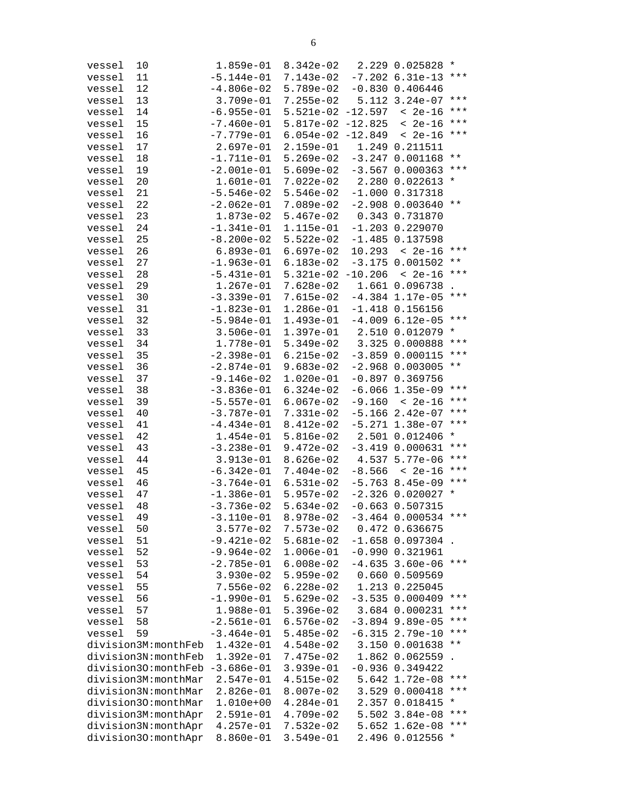| vessel | 10                  | 1.859e-01    | $8.342e-02$ |           | 2.229 0.025828      | $^\star$     |
|--------|---------------------|--------------|-------------|-----------|---------------------|--------------|
| vessel | 11                  | $-5.144e-01$ | 7.143e-02   |           | $-7.202$ 6.31e-13   | $***$        |
| vessel | 12                  | $-4.806e-02$ | $5.789e-02$ |           | $-0.830$ $0.406446$ |              |
| vessel | 13                  | 3.709e-01    | $7.255e-02$ |           | 5.112 3.24e-07      | $***$        |
| vessel | 14                  | $-6.955e-01$ | $5.521e-02$ | $-12.597$ | $< 2e-16$           | * * *        |
| vessel | 15                  | $-7.460e-01$ | 5.817e-02   | $-12.825$ | $< 2e-16$           | * * *        |
| vessel | 16                  | $-7.779e-01$ | $6.054e-02$ | $-12.849$ | $< 2e-16$           | ***          |
| vessel | 17                  | $2.697e-01$  | $2.159e-01$ |           | 1.249 0.211511      |              |
| vessel | 18                  | $-1.711e-01$ | $5.269e-02$ |           | $-3.247$ 0.001168   | $\star\star$ |
| vessel | 19                  | $-2.001e-01$ | $5.609e-02$ |           | $-3.567$ 0.000363   | ***          |
| vessel | 20                  | 1.601e-01    | $7.022e-02$ |           | 2.280 0.022613      | $^\star$     |
| vessel | 21                  | $-5.546e-02$ | $5.546e-02$ |           | $-1.000$ $0.317318$ |              |
| vessel | 22                  | $-2.062e-01$ | 7.089e-02   |           | $-2.908$ 0.003640   | * *          |
| vessel | 23                  | 1.873e-02    | $5.467e-02$ |           | 0.343 0.731870      |              |
| vessel | 24                  | $-1.341e-01$ | 1.115e-01   |           | $-1.203$ 0.229070   |              |
| vessel | 25                  | $-8.200e-02$ | $5.522e-02$ |           | $-1.485$ 0.137598   |              |
| vessel | 26                  | $6.893e-01$  | $6.697e-02$ | 10.293    | $< 2e-16$           | $***$        |
| vessel | 27                  | $-1.963e-01$ | $6.183e-02$ |           | $-3.175$ 0.001502   | * *          |
| vessel | 28                  | $-5.431e-01$ | $5.321e-02$ | $-10.206$ | $< 2e-16$           | ***          |
| vessel | 29                  | 1.267e-01    | 7.628e-02   |           | 1.661 0.096738      |              |
| vessel | 30                  | $-3.339e-01$ | 7.615e-02   |           | $-4.384$ 1.17e-05   | * * *        |
| vessel | 31                  | $-1.823e-01$ | 1.286e-01   |           | $-1.418$ 0.156156   |              |
| vessel | 32                  | $-5.984e-01$ | 1.493e-01   |           | $-4.009$ 6.12e-05   | $***$        |
| vessel | 33                  | $3.506e-01$  | $1.397e-01$ |           | 2.510 0.012079      | $^\star$     |
| vessel | 34                  | 1.778e-01    | $5.349e-02$ |           | 3.325 0.000888      | ***          |
| vessel | 35                  | $-2.398e-01$ | $6.215e-02$ |           | $-3.859$ 0.000115   | ***          |
| vessel | 36                  | $-2.874e-01$ | $9.683e-02$ |           | $-2.968$ 0.003005   | $\star\star$ |
| vessel | 37                  | $-9.146e-02$ | $1.020e-01$ |           | $-0.897$ 0.369756   |              |
| vessel | 38                  | $-3.836e-01$ | $6.324e-02$ | $-6.066$  | $1.35e-09$          | * * *        |
| vessel | 39                  | $-5.557e-01$ | $6.067e-02$ | $-9.160$  | < 2e-16             | * * *        |
| vessel | 40                  | $-3.787e-01$ | 7.331e-02   |           | $-5.166$ 2.42e-07   | * * *        |
| vessel | 41                  | $-4.434e-01$ | 8.412e-02   |           | $-5.271$ $1.38e-07$ | ***          |
| vessel | 42                  | 1.454e-01    | $5.816e-02$ |           | 2.501 0.012406      | $^\star$     |
| vessel | 43                  | $-3.238e-01$ | $9.472e-02$ |           | $-3.419$ $0.000631$ | ***          |
| vessel | 44                  | $3.913e-01$  | $8.626e-02$ |           | 4.537 5.77e-06      | ***          |
| vessel | 45                  | $-6.342e-01$ | $7.404e-02$ | $-8.566$  | $2e-16$             | ***          |
| vessel | 46                  | $-3.764e-01$ | $6.531e-02$ |           | $-5.763$ 8.45e-09   | ***          |
| vessel | 47                  | $-1.386e-01$ | $5.957e-02$ |           | $-2.326$ 0.020027   | $^\star$     |
| vessel | 48                  | $-3.736e-02$ | $5.634e-02$ |           | $-0.663$ $0.507315$ |              |
| vessel | 49                  | -3.110e-01   | 8.978e-02   |           | $-3.464$ 0.000534   | ***          |
| vessel | 50                  | 3.577e-02    | 7.573e-02   |           | 0.472 0.636675      |              |
| vessel | 51                  | $-9.421e-02$ | $5.681e-02$ |           | $-1.658$ 0.097304   |              |
| vessel | 52                  | $-9.964e-02$ | $1.006e-01$ |           | $-0.990 0.321961$   |              |
| vessel | 53                  | $-2.785e-01$ | $6.008e-02$ | $-4.635$  | $3.60e-06$          | ***          |
| vessel | 54                  | $3.930e-02$  | $5.959e-02$ |           | 0.660 0.509569      |              |
| vessel | 55                  | $7.556e-02$  | $6.228e-02$ |           | 1.213 0.225045      |              |
| vessel | 56                  | $-1.990e-01$ | $5.629e-02$ |           | $-3.535$ 0.000409   | * * *        |
| vessel | 57                  | 1.988e-01    | $5.396e-02$ |           | 3.684 0.000231      | ***          |
| vessel | 58                  | $-2.561e-01$ | $6.576e-02$ |           | $-3.894$ 9.89e-05   | * * *        |
| vessel | 59                  | $-3.464e-01$ | $5.485e-02$ | $-6.315$  | $2.79e-10$          | * * *        |
|        | division3M:monthFeb | 1.432e-01    | $4.548e-02$ |           | 3.150 0.001638      | * *          |
|        | division3N:monthFeb | 1.392e-01    | 7.475e-02   |           | 1.862 0.062559      |              |
|        | division30:monthFeb | $-3.686e-01$ | $3.939e-01$ |           | $-0.936$ $0.349422$ |              |
|        | division3M:monthMar | 2.547e-01    | $4.515e-02$ | 5.642     | $1.72e-08$          | * * *        |
|        | division3N:monthMar | $2.826e-01$  | 8.007e-02   | 3.529     | 0.000418            | * * *        |
|        | division30:monthMar | $1.010e+00$  | $4.284e-01$ |           | 2.357 0.018415      | *            |
|        | division3M:monthApr | $2.591e-01$  | 4.709e-02   |           | 5.502 3.84e-08      | ***          |
|        | division3N:monthApr | $4.257e-01$  | 7.532e-02   | 5.652     | $1.62e-08$          | ***          |
|        | division30:monthApr | 8.860e-01    | $3.549e-01$ |           | 2.496 0.012556      | *            |
|        |                     |              |             |           |                     |              |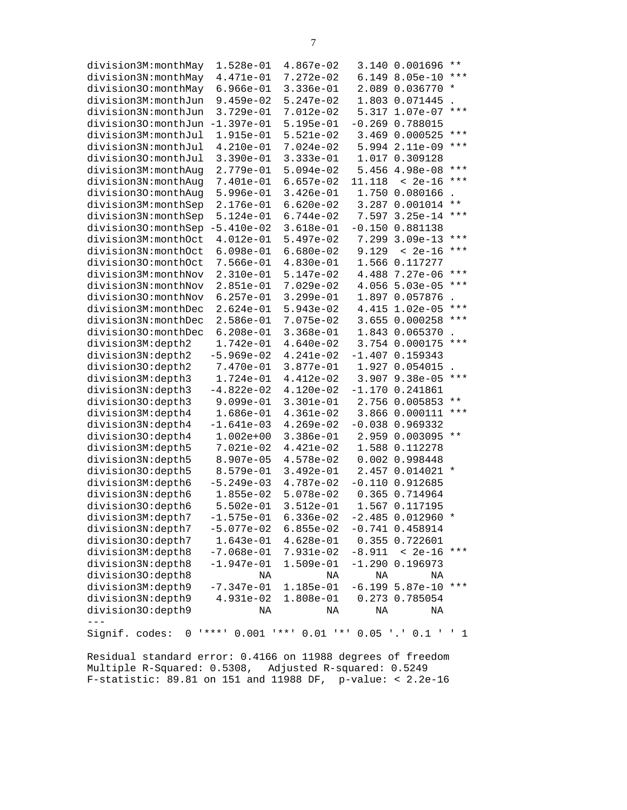| division3M:monthMay | 1.528e-01                 | $4.867e-02$    |          | 3.140 0.001696                   | $\star\star$   |
|---------------------|---------------------------|----------------|----------|----------------------------------|----------------|
| division3N:monthMay | 4.471e-01                 | 7.272e-02      |          | 6.149 8.05e-10                   | $***$          |
| division30:monthMay | $6.966e-01$               | $3.336e-01$    |          | 2.089 0.036770                   | $^\star$       |
| division3M:monthJun | $9.459e-02$               | $5.247e-02$    |          | 1.803 0.071445                   |                |
| division3N:monthJun | $3.729e-01$               | 7.012e-02      | 5.317    | $1.07e-07$                       | ***            |
| division30:monthJun | $-1.397e-01$              | $5.195e-01$    | $-0.269$ | 0.788015                         |                |
| division3M:monthJul | 1.915e-01                 | $5.521e-02$    |          | 3.469 0.000525                   | $***$          |
| division3N:monthJul | $4.210e-01$               | $7.024e-02$    |          | 5.994 2.11e-09                   | ***            |
| division30:monthJul | $3.390e-01$               | $3.333e-01$    |          | 1.017 0.309128                   |                |
| division3M:monthAug | 2.779e-01                 | $5.094e-02$    |          | 5.456 4.98e-08                   | $***$          |
| division3N:monthAug | 7.401e-01                 | $6.657e-02$    | 11.118   | $< 2e-16$                        | ***            |
| division30:monthAug | $5.996e-01$               | $3.426e - 01$  |          | 1.750 0.080166                   |                |
| division3M:monthSep | 2.176e-01                 | $6.620e-02$    |          | 3.287 0.001014                   | * *            |
| division3N:monthSep | $5.124e-01$               | $6.744e-02$    | 7.597    | $3.25e-14$                       | ***            |
| division30:monthSep | $-5.410e-02$              | $3.618e-01$    |          | $-0.150$ $0.881138$              |                |
| division3M:monthOct | $4.012e-01$               | $5.497e-02$    | 7.299    | $3.09e-13$                       | ***            |
| division3N:monthOct | $6.098e-01$               | $6.680e-02$    | 9.129    | $< 2e-16$                        | ***            |
| division30:monthOct | $7.566e-01$               | $4.830e-01$    |          | 1.566 0.117277                   |                |
| division3M:monthNov | 2.310e-01                 | $5.147e-02$    |          | 4.488 7.27e-06                   | $***$          |
| division3N:monthNov | $2.851e-01$               | $7.029e-02$    | 4.056    | $5.03e-05$                       | ***            |
| division30:monthNov | $6.257e-01$               | $3.299e-01$    |          | 1.897 0.057876                   |                |
| division3M:monthDec | $2.624e-01$               | $5.943e-02$    | 4.415    | $1.02e-05$                       | ***            |
| division3N:monthDec | $2.586e-01$               | 7.075e-02      |          | 3.655 0.000258                   | ***            |
| division30:monthDec | $6.208e-01$               | $3.368e-01$    |          | 1.843 0.065370                   |                |
| division3M:depth2   | 1.742e-01                 | $4.640e-02$    |          | 3.754 0.000175                   | ***            |
| division3N:depth2   | $-5.969e-02$              | $4.241e-02$    |          | $-1.407$ 0.159343                |                |
| division30:depth2   | 7.470e-01                 | 3.877e-01      |          | 1.927 0.054015                   |                |
| division3M:depth3   | 1.724e-01                 | $4.412e-02$    | 3.907    | $9.38e-05$                       | ***            |
| division3N:depth3   | $-4.822e-02$              | 4.120e-02      |          | $-1.170$ 0.241861                |                |
| division30:depth3   | $9.099e-01$               | $3.301e-01$    |          | 2.756 0.005853                   | * *            |
| division3M:depth4   | 1.686e-01                 | $4.361e-02$    |          | 3.866 0.000111                   | ***            |
| division3N:depth4   | $-1.641e-03$              | $4.269e-02$    |          | $-0.038$ 0.969332                |                |
| division30:depth4   | $1.002e + 00$             | $3.386e-01$    |          | 2.959 0.003095                   | $\star\,\star$ |
| division3M:depth5   | 7.021e-02                 | 4.421e-02      |          | 1.588 0.112278                   |                |
| division3N:depth5   | 8.907e-05                 | $4.578e-02$    |          | 0.002 0.998448                   |                |
| division30:depth5   | 8.579e-01                 | $3.492e-01$    |          | 2.457 0.014021                   | $\ast$         |
| division3M:depth6   | $-5.249e-03$              | 4.787e-02      |          | $-0.110$ $0.912685$              |                |
| division3N:depth6   | $1.855e-02$               | $5.078e-02$    |          | 0.365 0.714964                   |                |
| division30:depth6   | $5.502e-01$               | $3.512e-01$    |          | 1.567 0.117195                   |                |
| division3M:depth7   | $-1.575e-01$              | $6.336e-02$    |          | $-2.485$ 0.012960                | $^\star$       |
| division3N:depth7   | $-5.077e-02$              | $6.855e-02$    |          | $-0.741$ $0.458914$              |                |
| division30:depth7   | $1.643e-01$               | $4.628e-01$    |          | 0.355 0.722601                   |                |
| division3M:depth8   | $-7.068e-01$              | 7.931e-02      |          | $-8.911 < 2e-16$                 | ***            |
| division3N:depth8   | $-1.947e-01$              | 1.509e-01      |          | $-1.290$ 0.196973                |                |
| division30:depth8   | ΝA                        | ΝA             | ΝA       | ΝA                               |                |
| division3M:depth9   | $-7.347e-01$              | 1.185e-01      |          | $-6.199$ 5.87e-10                | ***            |
| division3N:depth9   | 4.931e-02                 | 1.808e-01      |          | 0.273 0.785054                   |                |
| division30:depth9   | ΝA                        | ΝA             | ΝA       | ΝA                               |                |
| $- - -$             |                           |                |          |                                  |                |
| Signif. codes:<br>0 | 0.001<br><b>1 * * * 1</b> | <b>1 * * 1</b> |          | $0.01$ ** $0.05$ '.' $0.1$ ' ' 1 |                |

Residual standard error: 0.4166 on 11988 degrees of freedom Multiple R-Squared: 0.5308, Adjusted R-squared: 0.5249 F-statistic: 89.81 on 151 and 11988 DF, p-value: < 2.2e-16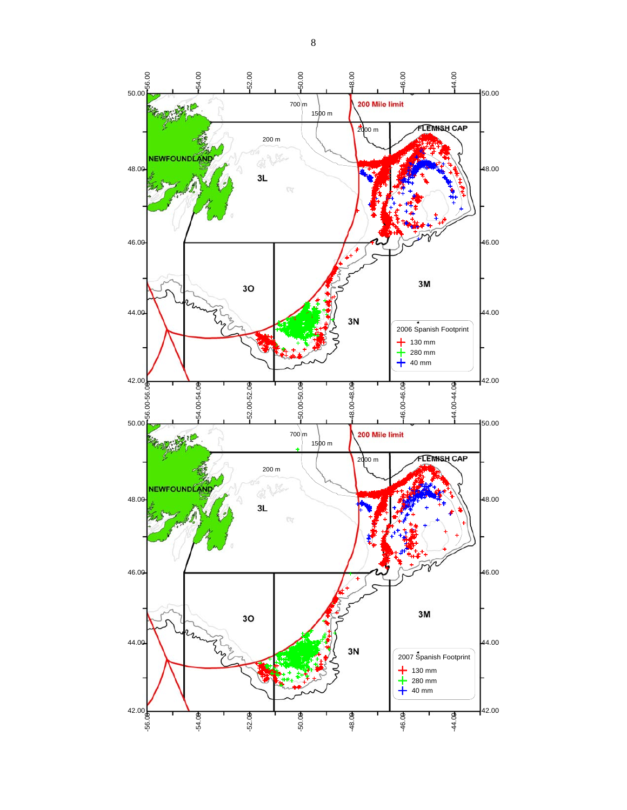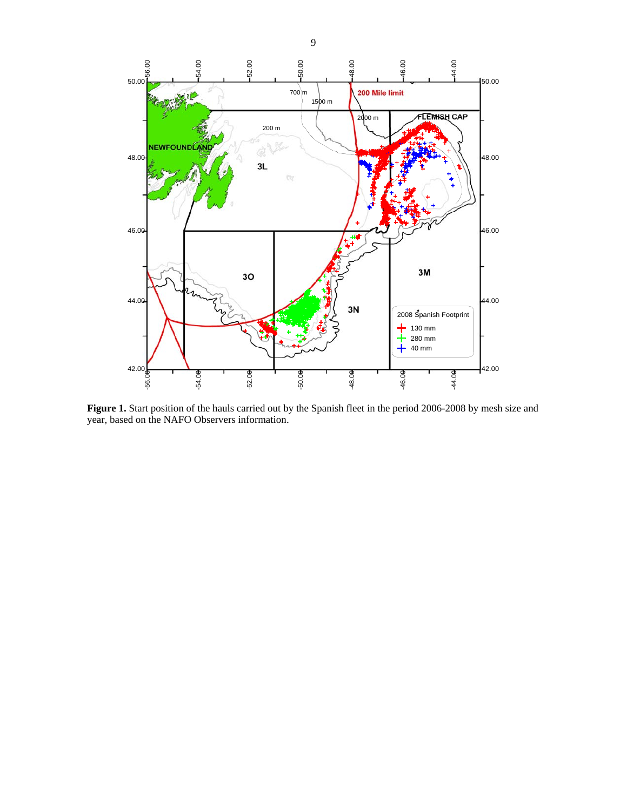

**Figure 1.** Start position of the hauls carried out by the Spanish fleet in the period 2006-2008 by mesh size and year, based on the NAFO Observers information.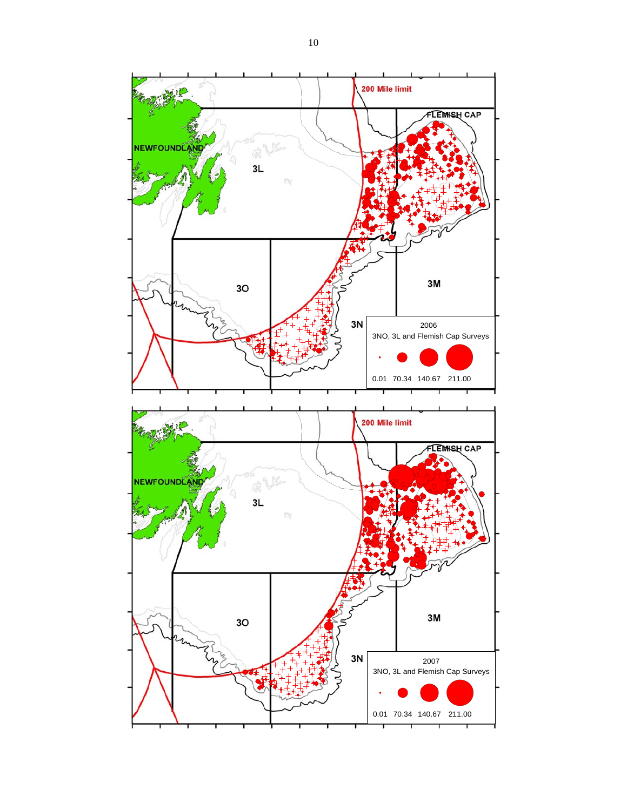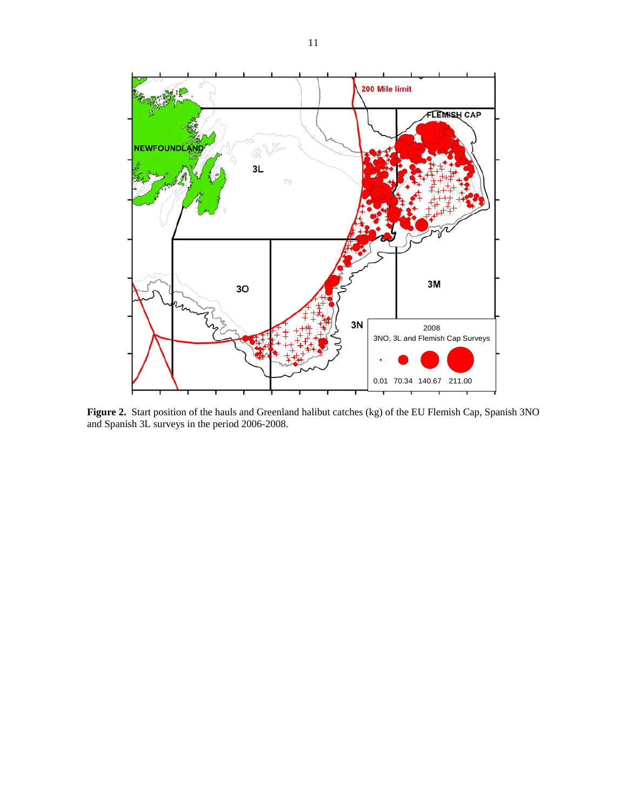

**Figure 2.** Start position of the hauls and Greenland halibut catches (kg) of the EU Flemish Cap, Spanish 3NO and Spanish 3L surveys in the period 2006-2008.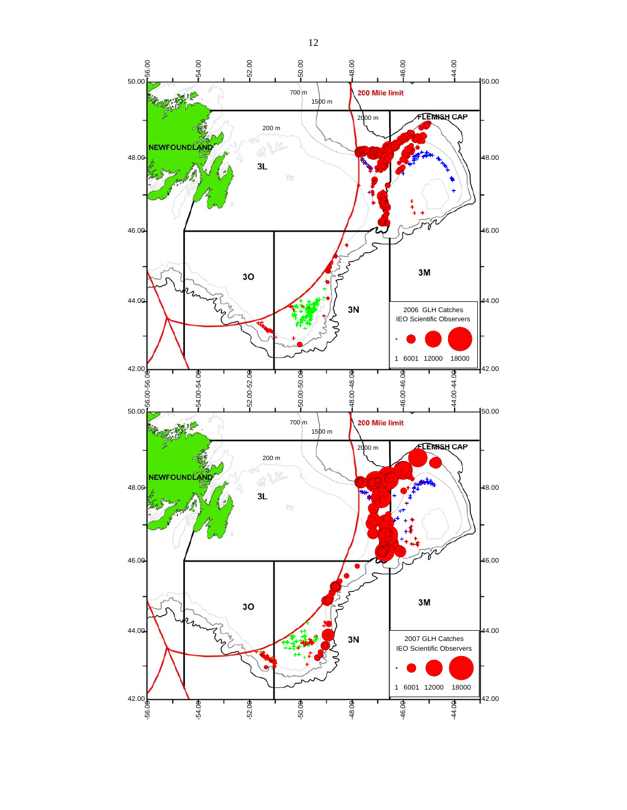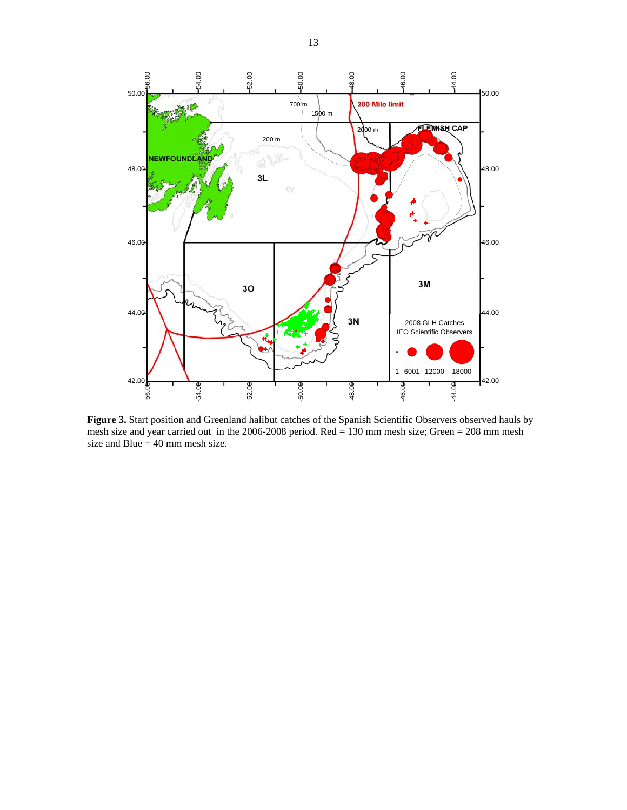

**Figure 3.** Start position and Greenland halibut catches of the Spanish Scientific Observers observed hauls by mesh size and year carried out in the 2006-2008 period. Red  $= 130$  mm mesh size; Green  $= 208$  mm mesh size and Blue  $= 40$  mm mesh size.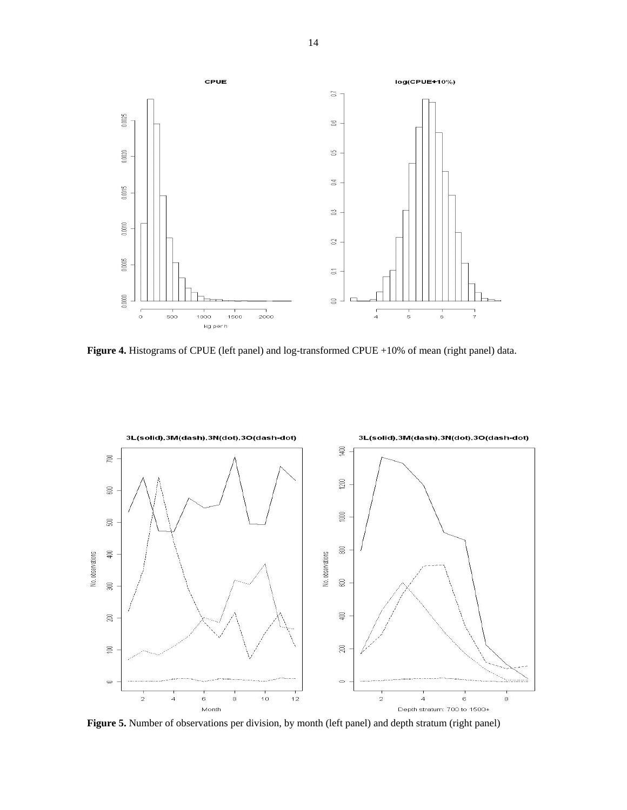

**Figure 4.** Histograms of CPUE (left panel) and log-transformed CPUE +10% of mean (right panel) data.



**Figure 5.** Number of observations per division, by month (left panel) and depth stratum (right panel)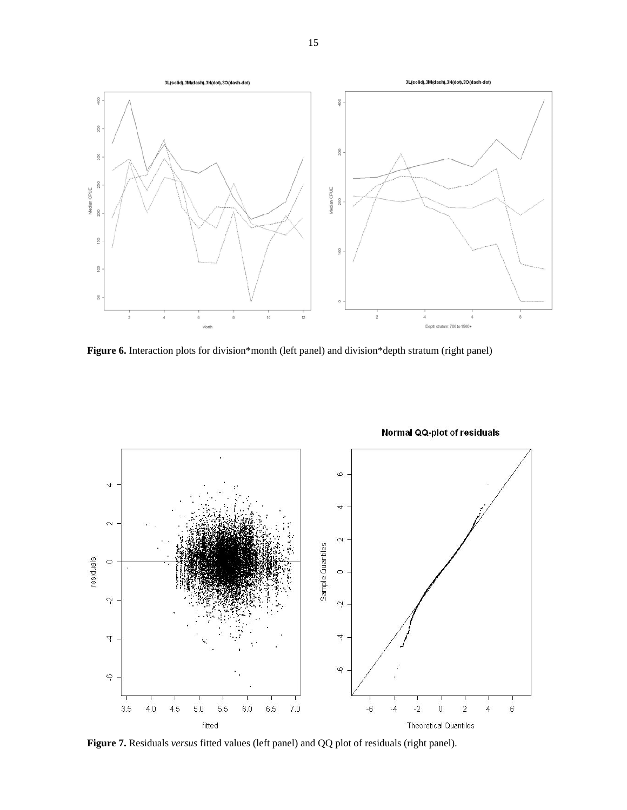

**Figure 6.** Interaction plots for division\*month (left panel) and division\*depth stratum (right panel)



**Figure 7.** Residuals *versus* fitted values (left panel) and QQ plot of residuals (right panel).

# Normal QQ-plot of residuals